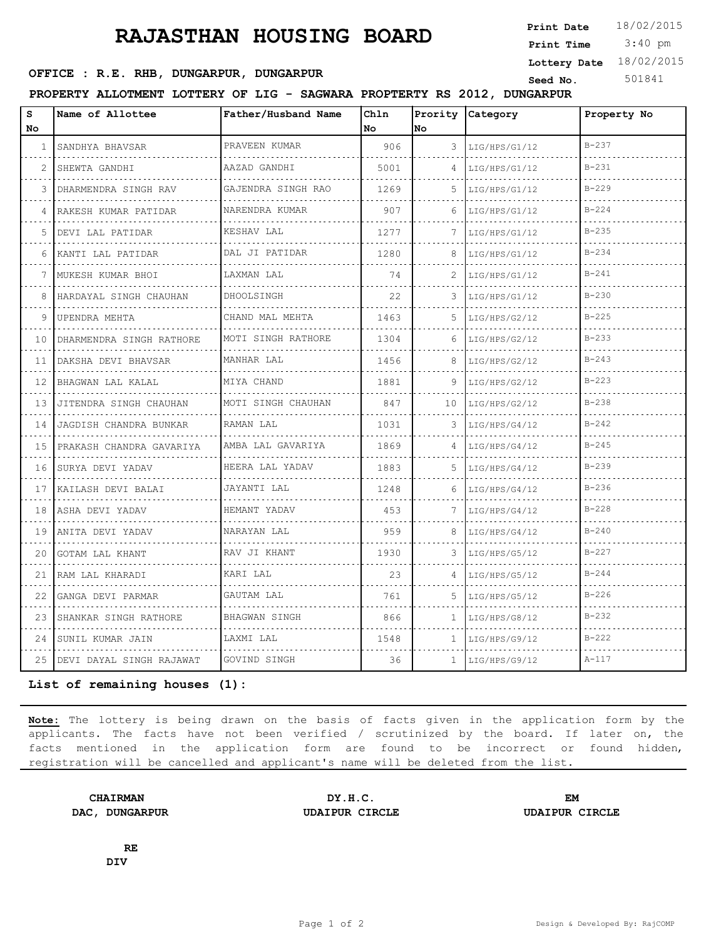## **RAJASTHAN HOUSING BOARD**

 3:40 pm **Print Date Print Time Lottery Date** 18/02/2015

## **SEED OFFICE : R.E. RHB, DUNGARPUR, DUNGARPUR Seed No.** 501841

**PROPERTY ALLOTMENT LOTTERY OF LIG - SAGWARA PROPTERTY RS 2012, DUNGARPUR**

| S<br>No         | Name of Allottee            | Father/Husband Name | Chln<br>No | No           | Prority Category | Property No |
|-----------------|-----------------------------|---------------------|------------|--------------|------------------|-------------|
| $\mathbf{1}$    | SANDHYA BHAVSAR             | PRAVEEN KUMAR       | 906        | 3            | LIG/HPS/G1/12    | $B - 237$   |
| 2               | SHEWTA GANDHI               | AAZAD GANDHI        | 5001       | 4            | LIG/HPS/G1/12    | $B - 231$   |
| 3               | DHARMENDRA SINGH RAV        | GAJENDRA SINGH RAO  | 1269       | 5            | LIG/HPS/G1/12    | $B - 229$   |
| 4               | .<br>RAKESH KUMAR PATIDAR   | .<br>NARENDRA KUMAR | 907        | 6            | LIG/HPS/G1/12    | $B - 224$   |
| 5               | DEVI LAL PATIDAR            | KESHAV LAL          | 1277       | 7            | LIG/HPS/G1/12    | $B - 235$   |
| 6               | KANTI LAL PATIDAR           | DAL JI PATIDAR      | 1280       | 8            | LIG/HPS/G1/12    | $B - 234$   |
| 7               | MUKESH KUMAR BHOI           | LAXMAN LAL          | 74         | 2            | LIG/HPS/G1/12    | $B - 241$   |
| 8               | HARDAYAL SINGH CHAUHAN      | DHOOLSINGH          | 22         | 3            | LIG/HPS/G1/12    | $B - 230$   |
| 9               | UPENDRA MEHTA               | CHAND MAL MEHTA     | 1463       | .5           | LIG/HPS/G2/12    | $B-225$     |
| 10              | DHARMENDRA SINGH RATHORE    | MOTI SINGH RATHORE  | 1304       | 6            | LIG/HPS/G2/12    | $B - 233$   |
| 11              | DAKSHA DEVI BHAVSAR         | MANHAR LAL          | 1456       | 8            | LIG/HPS/G2/12    | $B - 243$   |
| 12 <sup>°</sup> | BHAGWAN LAL KALAL           | MIYA CHAND          | 1881       | 9            | LIG/HPS/G2/12    | $B - 223$   |
| 13              | JITENDRA SINGH CHAUHAN      | MOTI SINGH CHAUHAN  | 847        | 10           | LIG/HPS/G2/12    | $B - 238$   |
| 14              | JAGDISH CHANDRA BUNKAR<br>. | RAMAN LAL           | 1031       | 3            | LIG/HPS/G4/12    | $B - 242$   |
| 1.5             | PRAKASH CHANDRA GAVARIYA    | AMBA LAL GAVARIYA   | 1869       |              | LIG/HPS/G4/12    | $B - 245$   |
| 16              | SURYA DEVI YADAV            | HEERA LAL YADAV     | 1883       | .5.          | LIG/HPS/G4/12    | $B - 239$   |
| 17              | KAILASH DEVI BALAI          | JAYANTI LAL         | 1248       | 6            | LIG/HPS/G4/12    | $B - 236$   |
| 18              | ASHA DEVI YADAV             | HEMANT YADAV        | 453        | 7            | LIG/HPS/G4/12    | $B - 228$   |
| 19              | ANITA DEVI YADAV            | NARAYAN LAL         | 959        | 8            | LIG/HPS/G4/12    | $B - 240$   |
| 20              | GOTAM LAL KHANT             | RAV JI KHANT        | 1930       | 3            | LIG/HPS/G5/12    | $B - 227$   |
| 21              | RAM LAL KHARADI             | KARI LAL            | 23         | 4            | LIG/HPS/G5/12    | $B - 244$   |
| 22              | GANGA DEVI PARMAR           | GAUTAM LAL          | 761        | .5           | LIG/HPS/G5/12    | $B - 226$   |
| 23              | SHANKAR SINGH RATHORE       | BHAGWAN SINGH       | 866        | $\mathbf{1}$ | LIG/HPS/G8/12    | $B - 232$   |
| 24              | SUNIL KUMAR JAIN            | LAXMI LAL           | 1548       | $\mathbf{1}$ | LIG/HPS/G9/12    | $B-222$     |
| 25              | DEVI DAYAL SINGH RAJAWAT    | GOVIND SINGH        | 36         | $\mathbf{1}$ | LIG/HPS/G9/12    | $A - 117$   |

**List of remaining houses (1):** 

**Note:** The lottery is being drawn on the basis of facts given in the application form by the applicants. The facts have not been verified / scrutinized by the board. If later on, the facts mentioned in the application form are found to be incorrect or found hidden, registration will be cancelled and applicant's name will be deleted from the list.

**CHAIRMAN DY.H.C. EM DAC, DUNGARPUR UDAIPUR CIRCLE UDAIPUR CIRCLE**

**RE DIV**